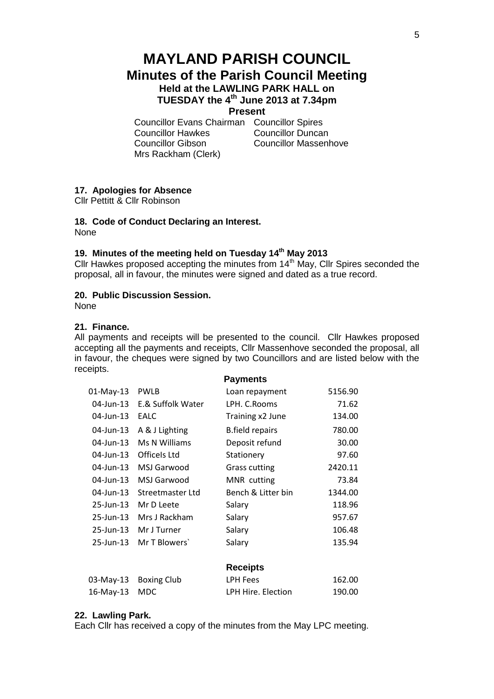# **MAYLAND PARISH COUNCIL Minutes of the Parish Council Meeting Held at the LAWLING PARK HALL on TUESDAY the 4th June 2013 at 7.34pm**

# **Present**

Councillor Evans Chairman Councillor Spires Councillor Hawkes Councillor Duncan Councillor Gibson Councillor Massenhove Mrs Rackham (Clerk)

# **17. Apologies for Absence**

Cllr Pettitt & Cllr Robinson

# **18. Code of Conduct Declaring an Interest.**

None

# **19. Minutes of the meeting held on Tuesday 14th May 2013**

Cllr Hawkes proposed accepting the minutes from  $14<sup>th</sup>$  May, Cllr Spires seconded the proposal, all in favour, the minutes were signed and dated as a true record.

# **20. Public Discussion Session.**

None

# **21. Finance.**

All payments and receipts will be presented to the council. Cllr Hawkes proposed accepting all the payments and receipts, Cllr Massenhove seconded the proposal, all in favour, the cheques were signed by two Councillors and are listed below with the receipts.

|              |                    | <b>Payments</b>        |         |
|--------------|--------------------|------------------------|---------|
| $01$ -May-13 | <b>PWLB</b>        | Loan repayment         | 5156.90 |
| $04$ -Jun-13 | E.& Suffolk Water  | LPH. C. Rooms          | 71.62   |
| 04-Jun-13    | <b>EALC</b>        | Training x2 June       | 134.00  |
| 04-Jun-13    | A & J Lighting     | <b>B.field repairs</b> | 780.00  |
| 04-Jun-13    | Ms N Williams      | Deposit refund         | 30.00   |
| 04-Jun-13    | Officels Ltd       | Stationery             | 97.60   |
| 04-Jun-13    | MSJ Garwood        | <b>Grass cutting</b>   | 2420.11 |
| $04$ -Jun-13 | MSJ Garwood        | MNR cutting            | 73.84   |
| 04-Jun-13    | Streetmaster Ltd   | Bench & Litter bin     | 1344.00 |
| $25$ -Jun-13 | Mr D Leete         | Salary                 | 118.96  |
| 25-Jun-13    | Mrs J Rackham      | Salary                 | 957.67  |
| $25$ -Jun-13 | Mr J Turner        | Salary                 | 106.48  |
| 25-Jun-13    | Mr T Blowers       | Salary                 | 135.94  |
|              |                    |                        |         |
|              |                    | <b>Receipts</b>        |         |
| 03-May-13    | <b>Boxing Club</b> | <b>LPH Fees</b>        | 162.00  |
| 16-May-13    | <b>MDC</b>         | LPH Hire. Election     | 190.00  |

#### **22. Lawling Park.**

Each Cllr has received a copy of the minutes from the May LPC meeting.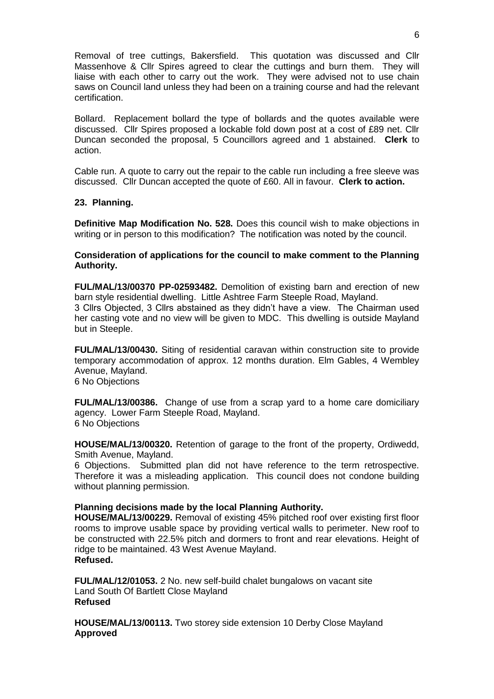Removal of tree cuttings, Bakersfield. This quotation was discussed and Cllr Massenhove & Cllr Spires agreed to clear the cuttings and burn them. They will liaise with each other to carry out the work. They were advised not to use chain saws on Council land unless they had been on a training course and had the relevant certification.

Bollard. Replacement bollard the type of bollards and the quotes available were discussed. Cllr Spires proposed a lockable fold down post at a cost of £89 net. Cllr Duncan seconded the proposal, 5 Councillors agreed and 1 abstained. **Clerk** to action.

Cable run. A quote to carry out the repair to the cable run including a free sleeve was discussed. Cllr Duncan accepted the quote of £60. All in favour. **Clerk to action.**

## **23. Planning.**

**Definitive Map Modification No. 528.** Does this council wish to make objections in writing or in person to this modification? The notification was noted by the council.

## **Consideration of applications for the council to make comment to the Planning Authority.**

**FUL/MAL/13/00370 PP-02593482.** Demolition of existing barn and erection of new barn style residential dwelling. Little Ashtree Farm Steeple Road, Mayland. 3 Cllrs Objected, 3 Cllrs abstained as they didn't have a view. The Chairman used

her casting vote and no view will be given to MDC. This dwelling is outside Mayland but in Steeple.

**FUL/MAL/13/00430.** Siting of residential caravan within construction site to provide temporary accommodation of approx. 12 months duration. Elm Gables, 4 Wembley Avenue, Mayland. 6 No Objections

**FUL/MAL/13/00386.** Change of use from a scrap yard to a home care domiciliary agency. Lower Farm Steeple Road, Mayland. 6 No Objections

**HOUSE/MAL/13/00320.** Retention of garage to the front of the property, Ordiwedd, Smith Avenue, Mayland.

6 Objections. Submitted plan did not have reference to the term retrospective. Therefore it was a misleading application. This council does not condone building without planning permission.

#### **Planning decisions made by the local Planning Authority.**

**HOUSE/MAL/13/00229.** Removal of existing 45% pitched roof over existing first floor rooms to improve usable space by providing vertical walls to perimeter. New roof to be constructed with 22.5% pitch and dormers to front and rear elevations. Height of ridge to be maintained. 43 West Avenue Mayland. **Refused.**

**FUL/MAL/12/01053.** 2 No. new self-build chalet bungalows on vacant site Land South Of Bartlett Close Mayland **Refused**

**HOUSE/MAL/13/00113.** Two storey side extension 10 Derby Close Mayland **Approved**